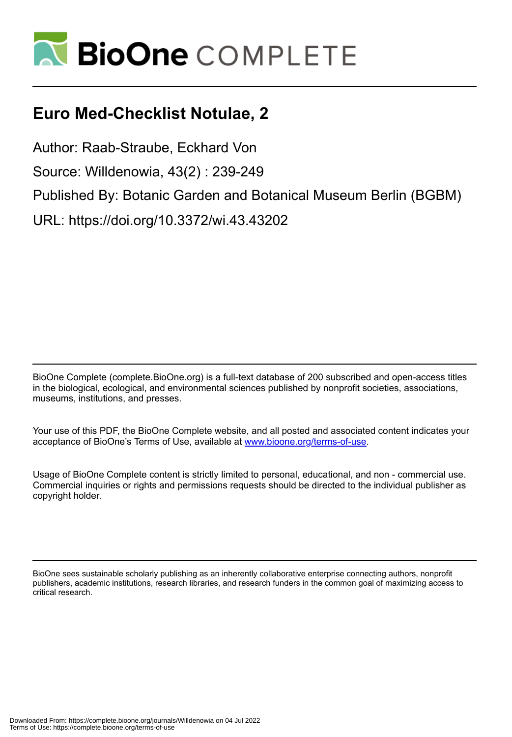

# **Euro Med-Checklist Notulae, 2**

Author: Raab-Straube, Eckhard Von Source: Willdenowia, 43(2) : 239-249 Published By: Botanic Garden and Botanical Museum Berlin (BGBM) URL: https://doi.org/10.3372/wi.43.43202

BioOne Complete (complete.BioOne.org) is a full-text database of 200 subscribed and open-access titles in the biological, ecological, and environmental sciences published by nonprofit societies, associations, museums, institutions, and presses.

Your use of this PDF, the BioOne Complete website, and all posted and associated content indicates your acceptance of BioOne's Terms of Use, available at www.bioone.org/terms-of-use.

Usage of BioOne Complete content is strictly limited to personal, educational, and non - commercial use. Commercial inquiries or rights and permissions requests should be directed to the individual publisher as copyright holder.

BioOne sees sustainable scholarly publishing as an inherently collaborative enterprise connecting authors, nonprofit publishers, academic institutions, research libraries, and research funders in the common goal of maximizing access to critical research.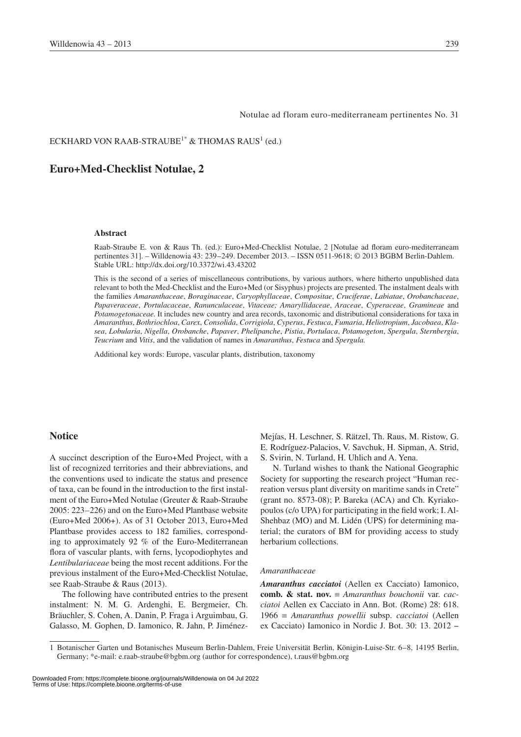#### Notulae ad floram euro-mediterraneam pertinentes No. 31

### ECKHARD VON RAAB-STRAUBE $^{\rm l^*}$  & THOMAS RAUS $^{\rm l}$  (ed.)

### **Euro+Med-Checklist Notulae, 2**

### **Abstract**

Raab-Straube E. von & Raus Th. (ed.): Euro+Med-Checklist Notulae, 2 [Notulae ad floram euro-mediterraneam pertinentes 31]. – Willdenowia 43: 239–249. December 2013. – ISSN 0511-9618; © 2013 BGBM Berlin-Dahlem. Stable URL: http://dx.doi.org/10.3372/wi.43.43202

This is the second of a series of miscellaneous contributions, by various authors, where hitherto unpublished data relevant to both the Med-Checklist and the Euro+Med (or Sisyphus) projects are presented. The instalment deals with the families *Amaranthaceae*, *Boraginaceae*, *Caryophyllaceae*, *Compositae*, *Cruciferae*, *Labiatae*, *Orobanchaceae*, *Papaveraceae*, *Portulacaceae*, *Ranunculaceae*, *Vitaceae; Amaryllidaceae*, *Araceae*, *Cyperaceae*, *Gramineae* and *Potamogetonaceae.* It includes new country and area records, taxonomic and distributional considerations for taxa in *Amaranthus*, *Bothriochloa*, *Carex*, *Consolida*, *Corrigiola*, *Cyperus*, *Festuca*, *Fumaria*, *Heliotropium*, *Jacobaea*, *Klasea*, *Lobularia*, *Nigella*, *Orobanche*, *Papaver*, *Phelipanche*, *Pistia*, *Portulaca*, *Potamogeton*, *Spergula*, *Sternbergia*, *Teucrium* and *Vitis*, and the validation of names in *Amaranthus*, *Festuca* and *Spergula.*

Additional key words: Europe, vascular plants, distribution, taxonomy

### **Notice**

A succinct description of the Euro+Med Project, with a list of recognized territories and their abbreviations, and the conventions used to indicate the status and presence of taxa, can be found in the introduction to the first instalment of the Euro+Med Notulae (Greuter & Raab-Straube 2005: 223–226) and on the Euro+Med Plantbase website (Euro+Med 2006+). As of 31 October 2013, Euro+Med Plantbase provides access to 182 families, corresponding to approximately 92 % of the Euro-Mediterranean flora of vascular plants, with ferns, lycopodiophytes and *Lentibulariaceae* being the most recent additions. For the previous instalment of the Euro+Med-Checklist Notulae, see Raab-Straube & Raus (2013).

The following have contributed entries to the present instalment: N. M. G. Ardenghi, E. Bergmeier, Ch. Bräuchler, S. Cohen, A. Danin, P. Fraga i Arguimbau, G. Galasso, M. Gophen, D. Iamonico, R. Jahn, P. JiménezMejías, H. Leschner, S. Rätzel, Th. Raus, M. Ristow, G. E. Rodríguez-Palacios, V. Savchuk, H. Sipman, A. Strid, S. Svirin, N. Turland, H. Uhlich and A. Yena.

N. Turland wishes to thank the National Geographic Society for supporting the research project "Human recreation versus plant diversity on maritime sands in Crete" (grant no. 8573-08); P. Bareka (ACA) and Ch. Kyriakopoulos (c/o UPA) for participating in the field work; I. Al-Shehbaz (MO) and M. Lidén (UPS) for determining material; the curators of BM for providing access to study herbarium collections.

#### *Amaranthaceae*

*Amaranthus cacciatoi* (Aellen ex Cacciato) Iamonico, **comb. & stat. nov.** ≡ *Amaranthus bouchonii* var. *cacciatoi* Aellen ex Cacciato in Ann. Bot. (Rome) 28: 618. 1966 ≡ *Amaranthus powellii* subsp. *cacciatoi* (Aellen ex Cacciato) Iamonico in Nordic J. Bot. 30: 13. 2012 −

Downloaded From: https://complete.bioone.org/journals/Willdenowia on 04 Jul 2022 Terms of Use: https://complete.bioone.org/terms-of-use

<sup>1</sup> Botanischer Garten und Botanisches Museum Berlin-Dahlem, Freie Universität Berlin, Königin-Luise-Str. 6–8, 14195 Berlin, Germany; \*e-mail: e.raab-straube@bgbm.org (author for correspondence), t.raus@bgbm.org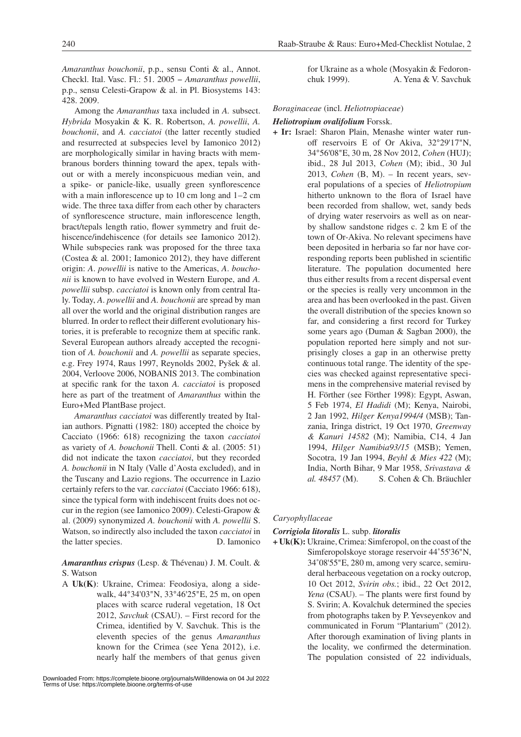*Amaranthus bouchonii*, p.p., sensu Conti & al., Annot. Checkl. Ital. Vasc. Fl.: 51. 2005 − *Amaranthus powellii*, p.p., sensu Celesti-Grapow & al. in Pl. Biosystems 143: 428. 2009.

Among the *Amaranthus* taxa included in *A.* subsect. *Hybrida* Mosyakin & K. R. Robertson, *A. powellii*, *A. bouchonii*, and *A. cacciatoi* (the latter recently studied and resurrected at subspecies level by Iamonico 2012) are morphologically similar in having bracts with membranous borders thinning toward the apex, tepals without or with a merely inconspicuous median vein, and a spike- or panicle-like, usually green synflorescence with a main inflorescence up to 10 cm long and 1–2 cm wide. The three taxa differ from each other by characters of synflorescence structure, main inflorescence length, bract/tepals length ratio, flower symmetry and fruit dehiscence/indehiscence (for details see Iamonico 2012). While subspecies rank was proposed for the three taxa (Costea & al. 2001; Iamonico 2012), they have different origin: *A*. *powellii* is native to the Americas, *A*. *bouchonii* is known to have evolved in Western Europe, and *A. powellii* subsp. *cacciatoi* is known only from central Italy. Today, *A*. *powellii* and *A. bouchonii* are spread by man all over the world and the original distribution ranges are blurred. In order to reflect their different evolutionary histories, it is preferable to recognize them at specific rank. Several European authors already accepted the recognition of *A. bouchonii* and *A. powellii* as separate species, e.g. Frey 1974, Raus 1997, Reynolds 2002, Pyšek & al. 2004, Verloove 2006, NOBANIS 2013. The combination at specific rank for the taxon *A. cacciatoi* is proposed here as part of the treatment of *Amaranthus* within the Euro+Med PlantBase project.

*Amaranthus cacciatoi* was differently treated by Italian authors. Pignatti (1982: 180) accepted the choice by Cacciato (1966: 618) recognizing the taxon *cacciatoi* as variety of *A. bouchonii* Thell. Conti & al. (2005: 51) did not indicate the taxon *cacciatoi*, but they recorded *A. bouchonii* in N Italy (Valle d'Aosta excluded), and in the Tuscany and Lazio regions. The occurrence in Lazio certainly refers to the var. *cacciatoi* (Cacciato 1966: 618), since the typical form with indehiscent fruits does not occur in the region (see Iamonico 2009). Celesti-Grapow & al. (2009) synonymized *A. bouchonii* with *A. powellii* S. Watson, so indirectly also included the taxon *cacciatoi* in the latter species. D. Iamonico

### *Amaranthus crispus* (Lesp. & Thévenau) J. M. Coult. & S. Watson

A **Uk(K)**: Ukraine, Crimea: Feodosiya, along a sidewalk, 44°34'03"N, 33°46'25"E, 25 m, on open places with scarce ruderal vegetation, 18 Oct 2012, *Savchuk* (CSAU). – First record for the Crimea, identified by V. Savchuk. This is the eleventh species of the genus *Amaranthus*  known for the Crimea (see Yena 2012), i.e. nearly half the members of that genus given

for Ukraine as a whole (Mosyakin & Fedoronchuk 1999). A. Yena & V. Savchuk

### *Boraginaceae* (incl. *Heliotropiaceae*)

### *Heliotropium ovalifolium* Forssk.

**+ Ir:** Israel: Sharon Plain, Menashe winter water runoff reservoirs E of Or Akiva, 32°29'17"N, 34°56'08"E, 30 m, 28 Nov 2012, *Cohen* (HUJ); ibid., 28 Jul 2013, *Cohen* (M); ibid., 30 Jul 2013, *Cohen* (B, M). – In recent years, several populations of a species of *Heliotropium* hitherto unknown to the flora of Israel have been recorded from shallow, wet, sandy beds of drying water reservoirs as well as on nearby shallow sandstone ridges c. 2 km E of the town of Or-Akiva. No relevant specimens have been deposited in herbaria so far nor have corresponding reports been published in scientific literature. The population documented here thus either results from a recent dispersal event or the species is really very uncommon in the area and has been overlooked in the past. Given the overall distribution of the species known so far, and considering a first record for Turkey some years ago (Duman & Sagban 2000), the population reported here simply and not surprisingly closes a gap in an otherwise pretty continuous total range. The identity of the species was checked against representative specimens in the comprehensive material revised by H. Förther (see Förther 1998): Egypt, Aswan, 5 Feb 1974, *El Hadidi* (M); Kenya, Nairobi, 2 Jan 1992, *Hilger Kenya1994/4* (MSB); Tanzania, Iringa district, 19 Oct 1970, *Greenway & Kanuri 14582* (M); Namibia, C14, 4 Jan 1994, *Hilger Namibia93/15* (MSB); Yemen, Socotra, 19 Jan 1994, *Beyhl & Mies 422* (M); India, North Bihar, 9 Mar 1958, *Srivastava & al. 48457* (M). S. Cohen & Ch. Bräuchler

### *Caryophyllaceae*

### *Corrigiola litoralis* L. subp. *litoralis*

**+ Uk(K):** Ukraine, Crimea: Simferopol, on the coast of the Simferopolskoye storage reservoir 44˚55'36"N, 34˚08'55"E, 280 m, among very scarce, semiruderal herbaceous vegetation on a rocky outcrop, 10 Oct 2012, *Svirin obs.*; ibid., 22 Oct 2012, *Yena* (CSAU). – The plants were first found by S. Svirin; A. Kovalchuk determined the species from photographs taken by P. Yevseyenkov and communicated in Forum "Plantarium" (2012). After thorough examination of living plants in the locality, we confirmed the determination. The population consisted of 22 individuals,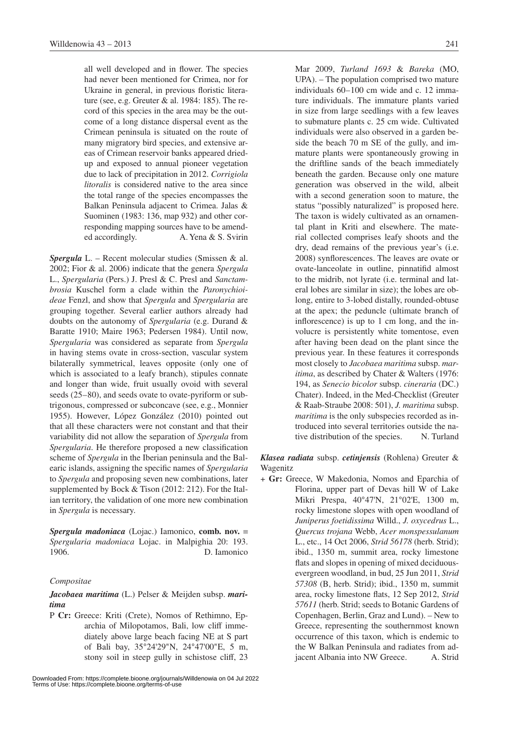all well developed and in flower. The species had never been mentioned for Crimea, nor for Ukraine in general, in previous floristic literature (see, e.g. Greuter & al. 1984: 185). The record of this species in the area may be the outcome of a long distance dispersal event as the Crimean peninsula is situated on the route of many migratory bird species, and extensive areas of Crimean reservoir banks appeared driedup and exposed to annual pioneer vegetation due to lack of precipitation in 2012. *Corrigiola litoralis* is considered native to the area since the total range of the species encompasses the Balkan Peninsula adjacent to Crimea. Jalas & Suominen (1983: 136, map 932) and other corresponding mapping sources have to be amended accordingly. A. Yena & S. Svirin

*Spergula* L. – Recent molecular studies (Smissen & al. 2002; Fior & al. 2006) indicate that the genera *Spergula* L., *Spergularia* (Pers.) J. Presl & C. Presl and *Sanctambrosia* Kuschel form a clade within the *Paronychioideae* Fenzl, and show that *Spergula* and *Spergularia* are grouping together. Several earlier authors already had doubts on the autonomy of *Spergularia* (e.g. Durand & Baratte 1910; Maire 1963; Pedersen 1984). Until now, *Spergularia* was considered as separate from *Spergula* in having stems ovate in cross-section, vascular system bilaterally symmetrical, leaves opposite (only one of which is associated to a leafy branch), stipules connate and longer than wide, fruit usually ovoid with several seeds (25–80), and seeds ovate to ovate-pyriform or subtrigonous, compressed or subconcave (see, e.g., Monnier 1955). However, López González (2010) pointed out that all these characters were not constant and that their variability did not allow the separation of *Spergula* from *Spergularia*. He therefore proposed a new classification scheme of *Spergula* in the Iberian peninsula and the Balearic islands, assigning the specific names of *Spergularia* to *Spergula* and proposing seven new combinations, later supplemented by Bock & Tison (2012: 212). For the Italian territory, the validation of one more new combination in *Spergula* is necessary.

*Spergula madoniaca* (Lojac.) Iamonico, **comb. nov.** ≡ *Spergularia madoniaca* Lojac. in Malpighia 20: 193. 1906. D. Iamonico

#### *Compositae*

### *Jacobaea maritima* (L.) Pelser & Meijden subsp. *maritima*

P **Cr:** Greece: Kriti (Crete), Nomos of Rethimno, Eparchia of Milopotamos, Bali, low cliff immediately above large beach facing NE at S part of Bali bay, 35°24'29"N, 24°47'00"E, 5 m, stony soil in steep gully in schistose cliff, 23 Mar 2009, *Turland 1693* & *Bareka* (MO, UPA). – The population comprised two mature individuals 60–100 cm wide and c. 12 immature individuals. The immature plants varied in size from large seedlings with a few leaves to submature plants c. 25 cm wide. Cultivated individuals were also observed in a garden beside the beach 70 m SE of the gully, and immature plants were spontaneously growing in the driftline sands of the beach immediately beneath the garden. Because only one mature generation was observed in the wild, albeit with a second generation soon to mature, the status "possibly naturalized" is proposed here. The taxon is widely cultivated as an ornamental plant in Kriti and elsewhere. The material collected comprises leafy shoots and the dry, dead remains of the previous year's (i.e. 2008) synflorescences. The leaves are ovate or ovate-lanceolate in outline, pinnatifid almost to the midrib, not lyrate (i.e. terminal and lateral lobes are similar in size); the lobes are oblong, entire to 3-lobed distally, rounded-obtuse at the apex; the peduncle (ultimate branch of inflorescence) is up to 1 cm long, and the involucre is persistently white tomentose, even after having been dead on the plant since the previous year. In these features it corresponds most closely to *Jacobaea maritima* subsp. *maritima*, as described by Chater & Walters (1976: 194, as *Senecio bicolor* subsp. *cineraria* (DC.) Chater). Indeed, in the Med-Checklist (Greuter & Raab-Straube 2008: 501), *J. maritima* subsp. *maritima* is the only subspecies recorded as introduced into several territories outside the native distribution of the species. N. Turland

*Klasea radiata* subsp. *cetinjensis* (Rohlena) Greuter & Wagenitz

+ **Gr:** Greece, W Makedonia, Nomos and Eparchia of Florina, upper part of Devas hill W of Lake Mikri Prespa, 40°47'N, 21°02'E, 1300 m, rocky limestone slopes with open woodland of *Juniperus foetidissima* Willd., *J. oxycedrus* L., *Quercus trojana* Webb, *Acer monspessulanum*  L., etc., 14 Oct 2006, *Strid 56178* (herb. Strid); ibid., 1350 m, summit area, rocky limestone flats and slopes in opening of mixed deciduousevergreen woodland, in bud, 25 Jun 2011, *Strid 57308* (B, herb. Strid); ibid., 1350 m, summit area, rocky limestone flats, 12 Sep 2012, *Strid 57611* (herb. Strid; seeds to Botanic Gardens of Copenhagen, Berlin, Graz and Lund). – New to Greece, representing the southernmost known occurrence of this taxon, which is endemic to the W Balkan Peninsula and radiates from adjacent Albania into NW Greece. A. Strid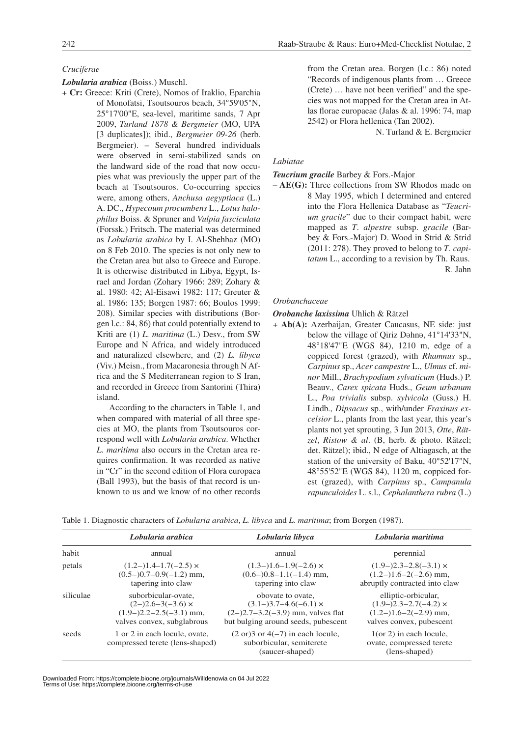### *Cruciferae*

*Lobularia arabica* (Boiss.) Muschl.

+ **Cr:** Greece: Kriti (Crete), Nomos of Iraklio, Eparchia of Monofatsi, Tsoutsouros beach, 34°59'05"N, 25°17'00"E, sea-level, maritime sands, 7 Apr 2009, *Turland 1878 & Bergmeier* (MO, UPA [3 duplicates]); ibid., *Bergmeier 09-26* (herb. Bergmeier). – Several hundred individuals were observed in semi-stabilized sands on the landward side of the road that now occupies what was previously the upper part of the beach at Tsoutsouros. Co-occurring species were, among others, *Anchusa aegyptiaca* (L.) A. DC., *Hypecoum procumbens* L., *Lotus halophilus* Boiss. & Spruner and *Vulpia fasciculata* (Forssk.) Fritsch. The material was determined as *Lobularia arabica* by I. Al-Shehbaz (MO) on 8 Feb 2010. The species is not only new to the Cretan area but also to Greece and Europe. It is otherwise distributed in Libya, Egypt, Israel and Jordan (Zohary 1966: 289; Zohary & al. 1980: 42; Al-Eisawi 1982: 117; Greuter & al. 1986: 135; Borgen 1987: 66; Boulos 1999: 208). Similar species with distributions (Borgen l.c.: 84, 86) that could potentially extend to Kriti are (1) *L. maritima* (L.) Desv., from SW Europe and N Africa, and widely introduced and naturalized elsewhere, and (2) *L. libyca* (Viv.) Meisn., from Macaronesia through N Africa and the S Mediterranean region to S Iran, and recorded in Greece from Santorini (Thira) island.

> According to the characters in Table 1, and when compared with material of all three species at MO, the plants from Tsoutsouros correspond well with *Lobularia arabica*. Whether *L. maritima* also occurs in the Cretan area requires confirmation. It was recorded as native in "Cr" in the second edition of Flora europaea (Ball 1993), but the basis of that record is unknown to us and we know of no other records

from the Cretan area. Borgen (l.c.: 86) noted "Records of indigenous plants from … Greece (Crete) … have not been verified" and the species was not mapped for the Cretan area in Atlas florae europaeae (Jalas & al. 1996: 74, map 2542) or Flora hellenica (Tan 2002).

N. Turland & E. Bergmeier

### *Labiatae*

*Teucrium gracile* Barbey & Fors.-Major

– **AE(G):** Three collections from SW Rhodos made on 8 May 1995, which I determined and entered into the Flora Hellenica Database as "*Teucrium gracile*" due to their compact habit, were mapped as *T*. *alpestre* subsp. *gracile* (Barbey & Fors.-Major) D. Wood in Strid & Strid (2011: 278). They proved to belong to *T*. *capitatum* L., according to a revision by Th. Raus. R. Jahn

### *Orobanchaceae*

### *Orobanche laxissima* Uhlich & Rätzel

+ **Ab(A):** Azerbaijan, Greater Caucasus, NE side: just below the village of Qiriz Dahna, 41°14'33"N, 48°18'47"E (WGS 84), 1210 m, edge of a coppiced forest (grazed), with *Rhamnus* sp., *Carpinus* sp., *Acer campestre* L., *Ulmus* cf. *minor* Mill., *Brachypodium sylvaticum* (Huds.) P. Beauv., *Carex spicata* Huds., *Geum urbanum*  L., *Poa trivialis* subsp. *sylvicola* (Guss.) H. Lindb., *Dipsacus* sp., with/under *Fraxinus excelsior* L., plants from the last year, this year's plants not yet sprouting, 3 Jun 2013, *Otte*, *Rätzel*, *Ristow & al*. (B, herb. & photo. Rätzel; det. Rätzel); ibid., N edge of Altiagasch, at the station of the university of Baku, 40°52'17"N, 48°55'52"E (WGS 84), 1120 m, coppiced forest (grazed), with *Carpinus* sp., *Campanula rapunculoides* L. s.l., *Cephalanthera rubra* (L.)

|           | Lobularia arabica                                                                                          | Lobularia libyca                                                                                                                | Lobularia maritima                                                                                         |
|-----------|------------------------------------------------------------------------------------------------------------|---------------------------------------------------------------------------------------------------------------------------------|------------------------------------------------------------------------------------------------------------|
| habit     | annual                                                                                                     | annual                                                                                                                          | perennial                                                                                                  |
| petals    | $(1.2-)1.4-1.7(-2.5) \times$<br>$(0.5-)0.7-0.9(-1.2)$ mm,<br>tapering into claw                            | $(1.3-)1.6-1.9(-2.6) \times$<br>$(0.6-)0.8-1.1(-1.4)$ mm,<br>tapering into claw                                                 | $(1.9-)2.3-2.8(-3.1) \times$<br>$(1.2-)1.6-2(-2.6)$ mm,<br>abruptly contracted into claw                   |
| siliculae | suborbicular-ovate.<br>$(2-)2.6-3(-3.6) \times$<br>$(1.9-)2.2-2.5(-3.1)$ mm,<br>valves convex, subglabrous | obovate to ovate.<br>$(3.1-)3.7-4.6(-6.1) \times$<br>$(2-)2.7-3.2(-3.9)$ mm, valves flat<br>but bulging around seeds, pubescent | elliptic-orbicular,<br>$(1.9-)2.3-2.7(-4.2) \times$<br>$(1.2-)1.6-2(-2.9)$ mm,<br>valves convex, pubescent |
| seeds     | 1 or 2 in each locule, ovate,<br>compressed terete (lens-shaped)                                           | $(2 \text{ or } 3 \text{ or } 4(-7) \text{ in each locale},$<br>suborbicular, semiterete<br>(saucer-shaped)                     | $1$ (or 2) in each locule,<br>ovate, compressed terete<br>(lens-shaped)                                    |

Table 1. Diagnostic characters of *Lobularia arabica*, *L. libyca* and *L. maritima*; from Borgen (1987).

Downloaded From: https://complete.bioone.org/journals/Willdenowia on 04 Jul 2022 Terms of Use: https://complete.bioone.org/terms-of-use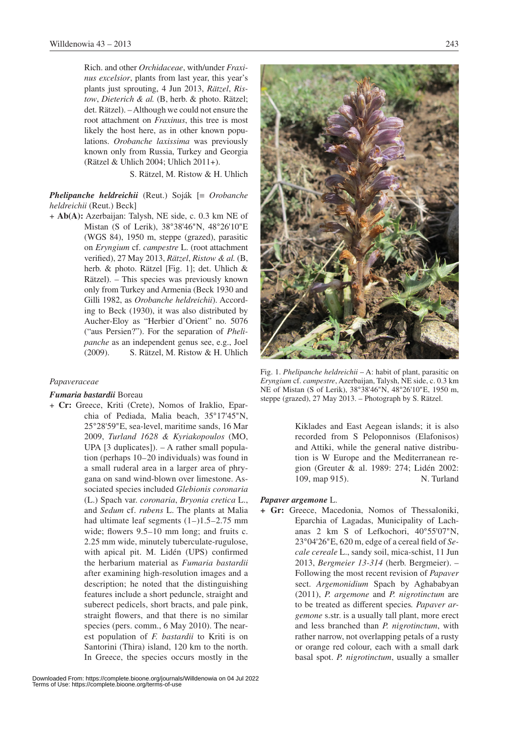Rich. and other *Orchidaceae*, with/under *Fraxinus excelsior*, plants from last year, this year's plants just sprouting, 4 Jun 2013, *Rätzel*, *Ristow*, *Dieterich & al.* (B, herb. & photo. Rätzel; det. Rätzel). – Although we could not ensure the root attachment on *Fraxinus*, this tree is most likely the host here, as in other known populations. *Orobanche laxissima* was previously known only from Russia, Turkey and Georgia (Rätzel & Uhlich 2004; Uhlich 2011+).

S. Rätzel, M. Ristow & H. Uhlich

*Phelipanche heldreichii* (Reut.) Soják [≡ *Orobanche heldreichii* (Reut.) Beck]

+ **Ab(A):** Azerbaijan: Talysh, NE side, c. 0.3 km NE of Mistan (S of Lerik), 38°38'46"N, 48°26'10"E (WGS 84), 1950 m, steppe (grazed), parasitic on *Eryngium* cf. *campestre* L. (root attachment verified), 27 May 2013, *Rätzel*, *Ristow & al.* (B, herb. & photo. Rätzel [Fig. 1]; det. Uhlich & Rätzel). – This species was previously known only from Turkey and Armenia (Beck 1930 and Gilli 1982, as *Orobanche heldreichii*). According to Beck (1930), it was also distributed by Aucher-Eloy as "Herbier d'Orient" no. 5076 ("aus Persien?"). For the separation of *Phelipanche* as an independent genus see, e.g., Joel (2009). S. Rätzel, M. Ristow & H. Uhlich

### *Papaveraceae*

### *Fumaria bastardii* Boreau

+ **Cr:** Greece, Kriti (Crete), Nomos of Iraklio, Eparchia of Pediada, Malia beach, 35°17'45"N, 25°28'59"E, sea-level, maritime sands, 16 Mar 2009, *Turland 1628 & Kyriakopoulos* (MO, UPA [3 duplicates]). – A rather small population (perhaps 10–20 individuals) was found in a small ruderal area in a larger area of phrygana on sand wind-blown over limestone. Associated species included *Glebionis coronaria* (L.) Spach var. *coronaria*, *Bryonia cretica* L., and *Sedum* cf. *rubens* L. The plants at Malia had ultimate leaf segments  $(1–)1.5–2.75$  mm wide; flowers 9.5–10 mm long; and fruits c. 2.25 mm wide, minutely tuberculate-rugulose, with apical pit. M. Lidén (UPS) confirmed the herbarium material as *Fumaria bastardii* after examining high-resolution images and a description; he noted that the distinguishing features include a short peduncle, straight and suberect pedicels, short bracts, and pale pink, straight flowers, and that there is no similar species (pers. comm., 6 May 2010). The nearest population of *F. bastardii* to Kriti is on Santorini (Thira) island, 120 km to the north. In Greece, the species occurs mostly in the



Fig. 1. *Phelipanche heldreichii* – A: habit of plant, parasitic on *Eryngium* cf. *campestre*, Azerbaijan, Talysh, NE side, c. 0.3 km NE of Mistan (S of Lerik), 38°38'46"N, 48°26'10"E, 1950 m, steppe (grazed), 27 May 2013. – Photograph by S. Rätzel.

Kiklades and East Aegean islands; it is also recorded from S Peloponnisos (Elafonisos) and Attiki, while the general native distribution is W Europe and the Mediterranean region (Greuter & al. 1989: 274; Lidén 2002: 109, map 915). N. Turland

#### *Papaver argemone* L.

**+ Gr:** Greece, Macedonia, Nomos of Thessaloniki, Eparchia of Lagadas, Municipality of Lachanas 2 km S of Lefkochori, 40°55'07"N, 23°04'26"E, 620 m, edge of a cereal field of *Secale cereale* L., sandy soil, mica-schist, 11 Jun 2013, *Bergmeier 13-314* (herb. Bergmeier). – Following the most recent revision of *Papaver* sect. *Argemonidium* Spach by Aghababyan (2011), *P. argemone* and *P. nigrotinctum* are to be treated as different species*. Papaver argemone* s.str. is a usually tall plant, more erect and less branched than *P. nigrotinctum*, with rather narrow, not overlapping petals of a rusty or orange red colour, each with a small dark basal spot. *P. nigrotinctum*, usually a smaller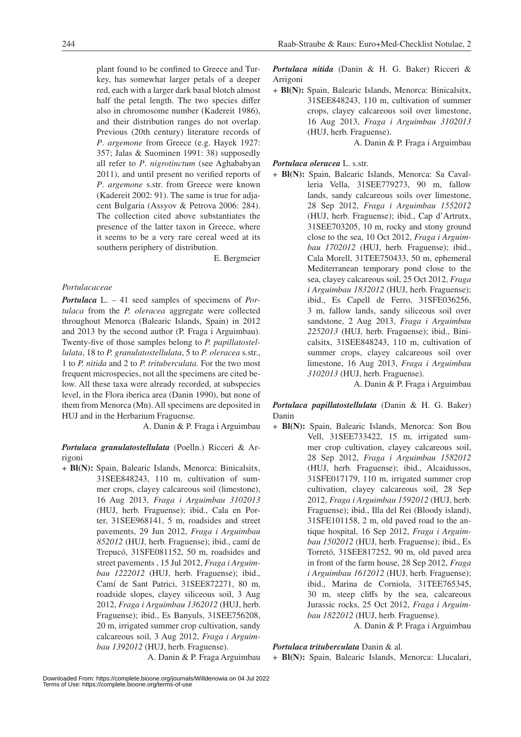plant found to be confined to Greece and Turkey, has somewhat larger petals of a deeper red, each with a larger dark basal blotch almost half the petal length. The two species differ also in chromosome number (Kadereit 1986), and their distribution ranges do not overlap. Previous (20th century) literature records of *P*. *argemone* from Greece (e.g. Hayek 1927: 357; Jalas & Suominen 1991: 38) supposedly all refer to *P*. *nigrotinctum* (see Aghababyan 2011), and until present no verified reports of *P*. *argemone* s.str. from Greece were known (Kadereit 2002: 91). The same is true for adjacent Bulgaria (Assyov & Petrova 2006: 284). The collection cited above substantiates the presence of the latter taxon in Greece, where it seems to be a very rare cereal weed at its southern periphery of distribution.

E. Bergmeier

### *Portulacaceae*

*Portulaca* L. – 41 seed samples of specimens of *Portulaca* from the *P. oleracea* aggregate were collected throughout Menorca (Balearic Islands, Spain) in 2012 and 2013 by the second author (P. Fraga i Arguimbau). Twenty-five of those samples belong to *P. papillatostellulata*, 18 to *P. granulatostellulata*, 5 to *P. oleracea* s.str., 1 to *P. nitida* and 2 to *P. trituberculata.* For the two most frequent microspecies, not all the specimens are cited below. All these taxa were already recorded, at subspecies level, in the Flora iberica area (Danin 1990), but none of them from Menorca (Mn). All specimens are deposited in HUJ and in the Herbarium Fraguense.

A. Danin & P. Fraga i Arguimbau

A. Danin & P. Fraga Arguimbau

*Portulaca granulatostellulata* (Poelln.) Ricceri & Arrigoni

+ **Bl(N):** Spain, Balearic Islands, Menorca: Binicalsitx, 31SEE848243, 110 m, cultivation of summer crops, clayey calcareous soil (limestone), 16 Aug 2013, *Fraga i Arguimbau 3102013* (HUJ, herb. Fraguense); ibid., Cala en Porter, 31SEE968141, 5 m, roadsides and street pavements, 29 Jun 2012, *Fraga i Arguimbau 852012* (HUJ, herb. Fraguense); ibid., camí de Trepucó, 31SFE081152, 50 m, roadsides and street pavements , 15 Jul 2012, *Fraga i Arguimbau 1222012* (HUJ, herb. Fraguense); ibid., Camí de Sant Patrici, 31SEE872271, 80 m, roadside slopes, clayey siliceous soil, 3 Aug 2012, *Fraga i Arguimbau 1362012* (HUJ, herb. Fraguense); ibid., Es Banyuls, 31SEE756208, 20 m, irrigated summer crop cultivation, sandy calcareous soil, 3 Aug 2012, *Fraga i Arguimbau 1392012* (HUJ, herb. Fraguense).

*Portulaca nitida* (Danin & H. G. Baker) Ricceri & Arrigoni

+ **Bl(N):** Spain, Balearic Islands, Menorca: Binicalsitx, 31SEE848243, 110 m, cultivation of summer crops, clayey calcareous soil over limestone, 16 Aug 2013, *Fraga i Arguimbau 3102013* (HUJ, herb. Fraguense).

A. Danin & P. Fraga i Arguimbau

- *Portulaca oleracea* L. s.str.
- + **Bl(N):** Spain, Balearic Islands, Menorca: Sa Cavalleria Vella, 31SEE779273, 90 m, fallow lands, sandy calcareous soils over limestone, 28 Sep 2012, *Fraga i Arguimbau 1552012* (HUJ, herb. Fraguense); ibid., Cap d'Artrutx, 31SEE703205, 10 m, rocky and stony ground close to the sea, 10 Oct 2012, *Fraga i Arguimbau 1702012* (HUJ, herb. Fraguense); ibid., Cala Morell, 31TEE750433, 50 m, ephemeral Mediterranean temporary pond close to the sea, clayey calcareous soil, 25 Oct 2012, *Fraga i Arguimbau 1832012* (HUJ, herb. Fraguense); ibid., Es Capell de Ferro, 31SFE036256, 3 m, fallow lands, sandy siliceous soil over sandstone, 2 Aug 2013, *Fraga i Arguimbau 2252013* (HUJ, herb. Fraguense); ibid., Binicalsitx, 31SEE848243, 110 m, cultivation of summer crops, clayey calcareous soil over limestone, 16 Aug 2013, *Fraga i Arguimbau 3102013* (HUJ, herb. Fraguense).

A. Danin & P. Fraga i Arguimbau

*Portulaca papillatostellulata* (Danin & H. G. Baker) Danin

+ **Bl(N):** Spain, Balearic Islands, Menorca: Son Bou Vell, 31SEE733422, 15 m, irrigated summer crop cultivation, clayey calcareous soil, 28 Sep 2012, *Fraga i Arguimbau 1582012* (HUJ, herb. Fraguense); ibid., Alcaidussos, 31SFE017179, 110 m, irrigated summer crop cultivation, clayey calcareous soil, 28 Sep 2012, *Fraga i Arguimbau 1592012* (HUJ, herb. Fraguense); ibid., Illa del Rei (Bloody island), 31SFE101158, 2 m, old paved road to the antique hospital, 16 Sep 2012, *Fraga i Arguimbau 1502012* (HUJ, herb. Fraguense); ibid., Es Torretó, 31SEE817252, 90 m, old paved area in front of the farm house, 28 Sep 2012, *Fraga i Arguimbau 1612012* (HUJ, herb. Fraguense); ibid., Marina de Corniola, 31TEE765345, 30 m, steep cliffs by the sea, calcareous Jurassic rocks, 25 Oct 2012, *Fraga i Arguimbau 1822012* (HUJ, herb. Fraguense).

A. Danin & P. Fraga i Arguimbau

### *Portulaca trituberculata* Danin & al.

+ **Bl(N):** Spain, Balearic Islands, Menorca: Llucalari,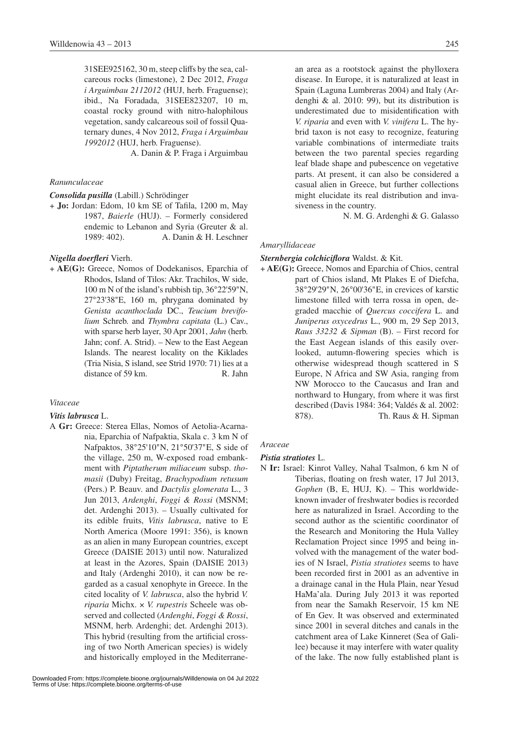31SEE925162, 30 m, steep cliffs by the sea, calcareous rocks (limestone), 2 Dec 2012, *Fraga i Arguimbau 2112012* (HUJ, herb. Fraguense); ibid., Na Foradada, 31SEE823207, 10 m, coastal rocky ground with nitro-halophilous vegetation, sandy calcareous soil of fossil Quaternary dunes, 4 Nov 2012, *Fraga i Arguimbau 1992012* (HUJ, herb. Fraguense).

A. Danin & P. Fraga i Arguimbau

### *Ranunculaceae*

### *Consolida pusilla* (Labill.) Schrödinger

+ **Jo:** Jordan: Edom, 10 km SE of Tafila, 1200 m, May 1987, *Baierle* (HUJ). – Formerly considered endemic to Lebanon and Syria (Greuter & al. 1989: 402). A. Danin & H. Leschner

### *Nigella doerfleri* Vierh.

+ **AE(G):** Greece, Nomos of Dodekanisos, Eparchia of Rhodos, Island of Tilos: Akr. Trachilos, W side, 100 m N of the island's rubbish tip, 36°22'59"N, 27°23'38"E, 160 m, phrygana dominated by *Genista acanthoclada* DC., *Teucium brevifolium* Schreb. and *Thymbra capitata* (L.) Cav., with sparse herb layer, 30 Apr 2001, *Jahn* (herb. Jahn; conf. A. Strid). – New to the East Aegean Islands. The nearest locality on the Kiklades (Tria Nisia, S island, see Strid 1970: 71) lies at a distance of 59 km. R. Jahn

### *Vitaceae*

### *Vitis labrusca* L.

A **Gr:** Greece: Sterea Ellas, Nomos of Aetolia-Acarnania, Eparchia of Nafpaktia, Skala c. 3 km N of Nafpaktos, 38°25'10"N, 21°50'37"E, S side of the village, 250 m, W-exposed road embankment with *Piptatherum miliaceum* subsp. *thomasii* (Duby) Freitag, *Brachypodium retusum*  (Pers.) P. Beauv. and *Dactylis glomerata* L., 3 Jun 2013, *Ardenghi*, *Foggi & Rossi* (MSNM; det. Ardenghi 2013). – Usually cultivated for its edible fruits, *Vitis labrusca*, native to E North America (Moore 1991: 356), is known as an alien in many European countries, except Greece (DAISIE 2013) until now. Naturalized at least in the Azores, Spain (DAISIE 2013) and Italy (Ardenghi 2010), it can now be regarded as a casual xenophyte in Greece. In the cited locality of *V. labrusca*, also the hybrid *V. riparia* Michx. × *V. rupestris* Scheele was observed and collected (*Ardenghi*, *Foggi & Rossi*, MSNM, herb. Ardenghi; det. Ardenghi 2013). This hybrid (resulting from the artificial crossing of two North American species) is widely and historically employed in the Mediterranedisease. In Europe, it is naturalized at least in Spain (Laguna Lumbreras 2004) and Italy (Ardenghi & al. 2010: 99), but its distribution is underestimated due to misidentification with *V. riparia* and even with *V. vinifera* L. The hybrid taxon is not easy to recognize, featuring variable combinations of intermediate traits between the two parental species regarding leaf blade shape and pubescence on vegetative parts. At present, it can also be considered a casual alien in Greece, but further collections might elucidate its real distribution and invasiveness in the country.

N. M. G. Ardenghi & G. Galasso

### *Amaryllidaceae*

### *Sternbergia colchiciflora* Waldst. & Kit.

+ **AE(G):** Greece, Nomos and Eparchia of Chios, central part of Chios island, Mt Plakes E of Diefcha, 38°29'29"N, 26°00'36"E, in crevices of karstic limestone filled with terra rossa in open, degraded macchie of *Quercus coccifera* L. and *Juniperus oxycedrus* L., 900 m, 29 Sep 2013, *Raus 33232 & Sipman* (B). – First record for the East Aegean islands of this easily overlooked, autumn-flowering species which is otherwise widespread though scattered in S Europe, N Africa and SW Asia, ranging from NW Morocco to the Caucasus and Iran and northward to Hungary, from where it was first described (Davis 1984: 364; Valdés & al. 2002: 878). Th. Raus & H. Sipman

### *Araceae*

### *Pistia stratiotes* L.

N **Ir:** Israel: Kinrot Valley, Nahal Tsalmon, 6 km N of Tiberias, floating on fresh water, 17 Jul 2013, *Gophen* (B, E, HUJ, K). – This worldwideknown invader of freshwater bodies is recorded here as naturalized in Israel. According to the second author as the scientific coordinator of the Research and Monitoring the Hula Valley Reclamation Project since 1995 and being involved with the management of the water bodies of N Israel, *Pistia stratiotes* seems to have been recorded first in 2001 as an adventive in a drainage canal in the Hula Plain, near Yesud HaMa'ala. During July 2013 it was reported from near the Samakh Reservoir, 15 km NE of En Gev. It was observed and exterminated since 2001 in several ditches and canals in the catchment area of Lake Kinneret (Sea of Galilee) because it may interfere with water quality of the lake. The now fully established plant is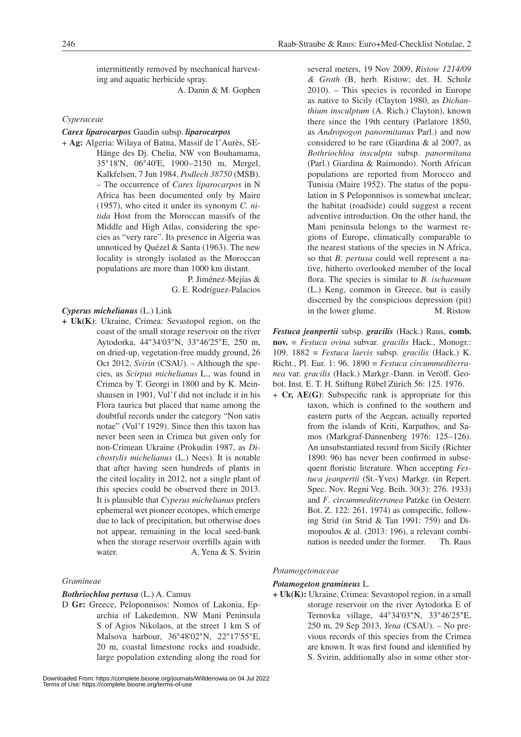intermittently removed by mechanical harvesting and aquatic herbicide spray.

A. Danin & M. Gophen

### *Cyperaceae*

### *Carex liparocarpos* Gaudin subsp. *liparocarpos*

+ **Ag:** Algeria: Wilaya of Batna, Massif de l'Aurès, SE-Hänge des Dj. Chelia, NW von Bouhamama, 35°18'N, 06°40'E, 1900–2150 m, Mergel, Kalkfelsen, 7 Jun 1984, *Podlech 38750* (MSB). – The occurrence of *Carex liparocarpos* in N Africa has been documented only by Maire (1957), who cited it under its synonym *C. nitida* Host from the Moroccan massifs of the Middle and High Atlas, considering the species as "very rare". Its presence in Algeria was unnoticed by Quézel & Santa (1963). The new locality is strongly isolated as the Moroccan populations are more than 1000 km distant.

> P. Jiménez-Mejías & G. E. Rodríguez-Palacios

### *Cyperus michelianus* (L.) Link

**+ Uk(K)**: Ukraine, Crimea: Sevastopol region, on the coast of the small storage reservoir on the river Aytodorka, 44°34'03"N, 33°46'25"E, 250 m, on dried-up, vegetation-free muddy ground, 26 Oct 2012, *Svirin* (CSAU). – Although the species, as *Scirpus michelianus* L., was found in Crimea by T. Georgi in 1800 and by K. Meinshausen in 1901, Vul'f did not include it in his Flora taurica but placed that name among the doubtful records under the category "Non satis notae" (Vul'f 1929). Since then this taxon has never been seen in Crimea but given only for non-Crimean Ukraine (Prokudin 1987, as *Dichostylis michelianus* (L.) Nees). It is notable that after having seen hundreds of plants in the cited locality in 2012, not a single plant of this species could be observed there in 2013. It is plausible that *Cyperus michelianus* prefers ephemeral wet pioneer ecotopes, which emerge due to lack of precipitation, but otherwise does not appear, remaining in the local seed-bank when the storage reservoir overfills again with water. A. Yena & S. Svirin

### *Gramineae*

### *Bothriochloa pertusa* (L.) A. Camus

D **Gr:** Greece, Peloponnisos: Nomos of Lakonia, Eparchia of Lakedemon, NW Mani Peninsula S of Agios Nikolaos, at the street 1 km S of Malsova harbour, 36°48'02"N, 22°17'55"E, 20 m, coastal limestone rocks and roadside, large population extending along the road for several meters, 19 Nov 2009, *Ristow 1214/09 & Groth* (B, herb. Ristow; det. H. Scholz 2010). – This species is recorded in Europe as native to Sicily (Clayton 1980, as *Dichanthium insculptum* (A. Rich.) Clayton), known there since the 19th century (Parlatore 1850, as *Andropogon panormitanus* Parl.) and now considered to be rare (Giardina & al 2007, as *Bothriochloa insculpta* subsp. *panormitana*  (Parl.) Giardina & Raimondo). North African populations are reported from Morocco and Tunisia (Maire 1952). The status of the population in S Peloponnisos is somewhat unclear, the habitat (roadside) could suggest a recent adventive introduction. On the other hand, the Mani peninsula belongs to the warmest regions of Europe, climatically comparable to the nearest stations of the species in N Africa, so that *B. pertusa* could well represent a native, hitherto overlooked member of the local flora. The species is similar to *B. ischaemum* (L.) Keng, common in Greece, but is easily discerned by the conspicious depression (pit) in the lower glume. M. Ristow

*Festuca jeanpertii* subsp. *gracilis* (Hack.) Raus, **comb. nov.** ≡ *Festuca ovina* subvar. *gracilis* Hack., Monogr.: 109. 1882 ≡ *Festuca laevis* subsp. *gracilis* (Hack.) K. Richt., Pl. Eur. 1: 96. 1890 ≡ *Festuca circummediterranea* var. *gracilis* (Hack.) Markgr.-Dann. in Veröff. Geobot. Inst. E. T. H. Stiftung Rübel Zürich 56: 125. 1976.

+ **Cr, AE(G)**: Subspecific rank is appropriate for this taxon, which is confined to the southern and eastern parts of the Aegean, actually reported from the islands of Kriti, Karpathos, and Samos (Markgraf-Dannenberg 1976: 125–126). An unsubstantiated record from Sicily (Richter 1890: 96) has never been confirmed in subsequent floristic literature. When accepting *Festuca jeanpertii* (St.-Yves) Markgr. (in Repert. Spec. Nov. Regni Veg. Beih. 30(3): 276. 1933) and *F*. *circummediterranea* Patzke (in Oesterr. Bot. Z. 122: 261. 1974) as conspecific, following Strid (in Strid & Tan 1991: 759) and Dimopoulos & al. (2013: 196), a relevant combination is needed under the former. Th. Raus

### *Potamogetonaceae*

### *Potamogeton gramineus* L.

**+ Uk(K):** Ukraine, Crimea: Sevastopol region, in a small storage reservoir on the river Aytodorka E of Ternovka village, 44°34'03"N, 33°46'25"E, 250 m, 29 Sep 2013, *Yena* (CSAU). – No previous records of this species from the Crimea are known. It was first found and identified by S. Svirin, additionally also in some other stor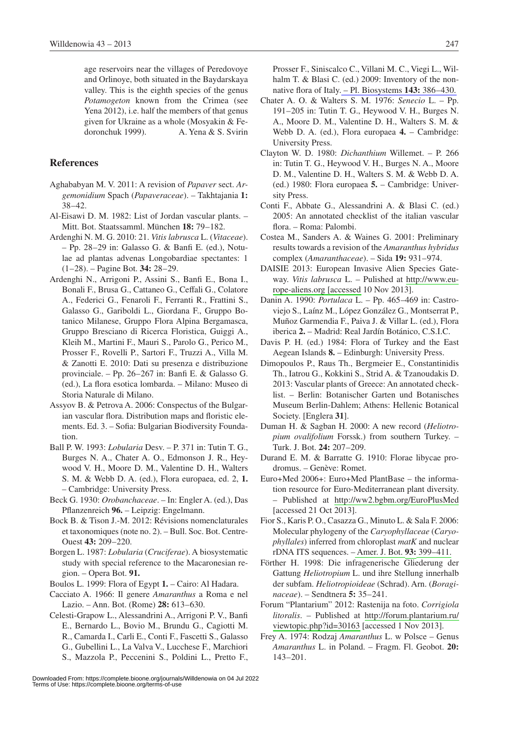age reservoirs near the villages of Peredovoye and Orlinoye, both situated in the Baydarskaya valley. This is the eighth species of the genus *Potamogeton* known from the Crimea (see Yena 2012), i.e. half the members of that genus given for Ukraine as a whole (Mosyakin & Fedoronchuk 1999). A. Yena & S. Svirin

## **References**

- Aghababyan M. V. 2011: A revision of *Papaver* sect. *Argemonidium* Spach (*Papaveraceae*). – Takhtajania **1:** 38–42.
- Al-Eisawi D. M. 1982: List of Jordan vascular plants. Mitt. Bot. Staatssamml. München **18:** 79–182.
- Ardenghi N. M. G. 2010: 21. *Vitis labrusca* L. (*Vitaceae*). – Pp. 28–29 in: Galasso G. & Banfi E. (ed.), Notulae ad plantas advenas Longobardiae spectantes: 1 (1–28). – Pagine Bot. **34:** 28–29.
- Ardenghi N., Arrigoni P., Assini S., Banfi E., Bona I., Bonali F., Brusa G., Cattaneo G., Ceffali G., Colatore A., Federici G., Fenaroli F., Ferranti R., Frattini S., Galasso G., Gariboldi L., Giordana F., Gruppo Botanico Milanese, Gruppo Flora Alpina Bergamasca, Gruppo Bresciano di Ricerca Floristica, Guiggi A., Kleih M., Martini F., Mauri S., Parolo G., Perico M., Prosser F., Rovelli P., Sartori F., Truzzi A., Villa M. & Zanotti E. 2010: Dati su presenza e distribuzione provinciale. – Pp. 26–267 in: Banfi E. & Galasso G. (ed.), La flora esotica lombarda. – Milano: Museo di Storia Naturale di Milano.
- Assyov B. & Petrova A. 2006: Conspectus of the Bulgarian vascular flora. Distribution maps and floristic elements. Ed. 3. – Sofia: Bulgarian Biodiversity Foundation.
- Ball P. W. 1993: *Lobularia* Desv. P. 371 in: Tutin T. G., Burges N. A., Chater A. O., Edmonson J. R., Heywood V. H., Moore D. M., Valentine D. H., Walters S. M. & Webb D. A. (ed.), Flora europaea, ed. 2, **1.** – Cambridge: University Press.
- Beck G. 1930: *Orobanchaceae*. In: Engler A. (ed.), Das Pflanzenreich **96.** – Leipzig: Engelmann.
- Bock B. & Tison J.-M. 2012: Révisions nomenclaturales et taxonomiques (note no. 2). – Bull. Soc. Bot. Centre-Ouest **43:** 209–220.
- Borgen L. 1987: *Lobularia* (*Cruciferae*). A biosystematic study with special reference to the Macaronesian region. – Opera Bot. **91.**
- Boulos L. 1999: Flora of Egypt **1.** Cairo: Al Hadara.
- Cacciato A. 1966: Il genere *Amaranthus* a Roma e nel Lazio. – Ann. Bot. (Rome) **28:** 613–630.
- Celesti-Grapow L., Alessandrini A., Arrigoni P. V., Banfi E., Bernardo L., Bovio M., Brundu G., Cagiotti M. R., Camarda I., Carli E., Conti F., Fascetti S., Galasso G., Gubellini L., La Valva V., Lucchese F., Marchiori S., Mazzola P., Peccenini S., Poldini L., Pretto F.,

Prosser F., Siniscalco C., Villani M. C., Viegi L., Wilhalm T. & Blasi C. (ed.) 2009: Inventory of the nonnative flora of Italy[. – Pl. Biosystems](http://www.ingentaconnect.com/content/external-references?article=1126-3504()143L.386[aid=10180600]) **143:** 386–430.

- Chater A. O. & Walters S. M. 1976: *Senecio* L. Pp. 191–205 in: Tutin T. G., Heywood V. H., Burges N. A., Moore D. M., Valentine D. H., Walters S. M. & Webb D. A. (ed.), Flora europaea **4.** – Cambridge: University Press.
- Clayton W. D. 1980: *Dichanthium* Willemet. P. 266 in: Tutin T. G., Heywood V. H., Burges N. A., Moore D. M., Valentine D. H., Walters S. M. & Webb D. A. (ed.) 1980: Flora europaea **5.** – Cambridge: University Press.
- Conti F., Abbate G., Alessandrini A. & Blasi C. (ed.) 2005: An annotated checklist of the italian vascular flora. – Roma: Palombi.
- Costea M., Sanders A. & Waines G. 2001: Preliminary results towards a revision of the *Amaranthus hybridus*  complex (*Amaranthaceae*). – Sida **19:** 931–974.
- DAISIE 2013: European Invasive Alien Species Gateway. *Vitis labrusca* L. – Pulished at [http://www.eu](http://www.europe-aliens.org)[rope-aliens.org \[accessed](http://www.europe-aliens.org) 10 Nov 2013].
- Danin A. 1990: *Portulaca* L. Pp. 465–469 in: Castroviejo S., Laínz M., López González G., Montserrat P., Muñoz Garmendia F., Paiva J. & Villar L. (ed.), Flora iberica **2.** – Madrid: Real Jardín Botánico, C.S.I.C.
- Davis P. H. (ed.) 1984: Flora of Turkey and the East Aegean Islands **8.** – Edinburgh: University Press.
- Dimopoulos P., Raus Th., Bergmeier E., Constantinidis Th., Iatrou G., Kokkini S., Strid A. & Tzanoudakis D. 2013: Vascular plants of Greece: An annotated checklist. – Berlin: Botanischer Garten und Botanisches Museum Berlin-Dahlem; Athens: Hellenic Botanical Society. [Englera **31**].
- Duman H. & Sagban H. 2000: A new record (*Heliotropium ovalifolium* Forssk.) from southern Turkey. – Turk. J. Bot. **24:** 207–209.
- Durand E. M. & Barratte G. 1910: Florae libycae prodromus. – Genève: Romet.
- Euro+Med 2006+: Euro+Med PlantBase the information resource for Euro-Mediterranean plant diversity. – Published at <http://ww2.bgbm.org/EuroPlusMed> [accessed 21 Oct 2013].
- Fior S., Karis P. O., Casazza G., Minuto L. & Sala F. 2006: Molecular phylogeny of the *Caryophyllaceae* (*Caryophyllales*) inferred from chloroplast *matK* and nuclear rDNA ITS sequences. [– Amer. J. Bot.](http://dx.doi.org/10.3732/ajb.93.3.399) **[93:](http://dx.doi.org/10.3732/ajb.93.3.399)** [399–411.](http://dx.doi.org/10.3732/ajb.93.3.399)
- Förther H. 1998: Die infragenerische Gliederung der Gattung *Heliotropium* L. und ihre Stellung innerhalb der subfam. *Heliotropioideae* (Schrad). Arn. (*Boraginaceae*). – Sendtnera **5:** 35–241.
- Forum "Plantarium" 2012: Rastenija na foto. *Corrigiola litoralis*. – Published at [http://forum.plantarium.ru/](http://forum.plantarium.ru/viewtopic.php?id=30163) [viewtopic.php?id=30163](http://forum.plantarium.ru/viewtopic.php?id=30163) [accessed 1 Nov 2013].
- Frey A. 1974: Rodzaj *Amaranthus* L. w Polsce Genus *Amaranthus* L. in Poland. – Fragm. Fl. Geobot. **20:**  143–201.

Downloaded From: https://complete.bioone.org/journals/Willdenowia on 04 Jul 2022 Terms of Use: https://complete.bioone.org/terms-of-use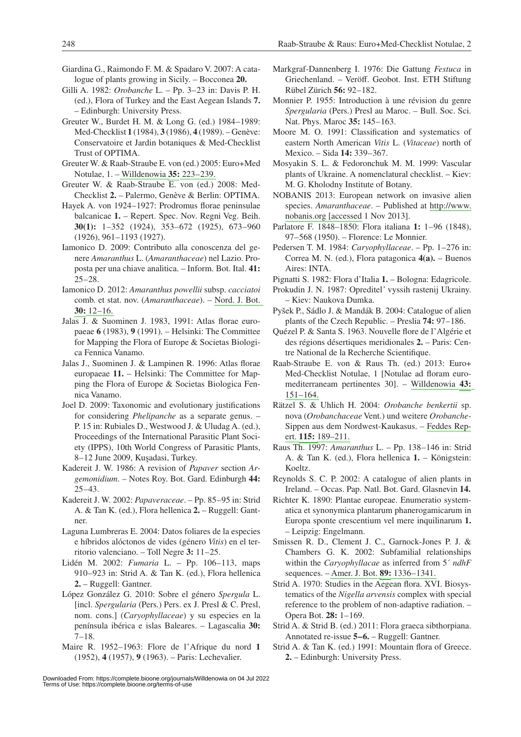- Giardina G., Raimondo F. M. & Spadaro V. 2007: A catalogue of plants growing in Sicily. – Bocconea **20.**
- Gilli A. 1982: *Orobanche* L. Pp. 3–23 in: Davis P. H. (ed.), Flora of Turkey and the East Aegean Islands **7.**  – Edinburgh: University Press.
- Greuter W., Burdet H. M. & Long G. (ed.) 1984–1989: Med-Checklist **1** (1984), **3** (1986), **4** (1989). – Genève: Conservatoire et Jardin botaniques & Med-Checklist Trust of OPTIMA.
- Greuter W. & Raab-Straube E. von (ed.) 2005: Euro+Med Notulae, 1. – [Willdenowia](http://dx.doi.org/10.3372/wi.35.35201) **[35:](http://dx.doi.org/10.3372/wi.35.35201)** [223–239.](http://dx.doi.org/10.3372/wi.35.35201)
- Greuter W. & Raab-Straube E. von (ed.) 2008: Med-Checklist **2.** – Palermo, Genève & Berlin: OPTIMA.
- Hayek A. von 1924–1927: Prodromus florae peninsulae balcanicae **1.** – Repert. Spec. Nov. Regni Veg. Beih. **30(1):** 1–352 (1924), 353–672 (1925), 673–960 (1926), 961–1193 (1927).
- Iamonico D. 2009: Contributo alla conoscenza del genere *Amaranthus* L. (*Amaranthaceae*) nel Lazio. Proposta per una chiave analitica. – Inform. Bot. Ital. **41:**   $25 - 28.$
- Iamonico D. 2012: *Amaranthus powellii* subsp. *cacciatoi*  comb. et stat. nov. (*Amaranthaceae*). – [Nord. J. Bot.](http://dx.doi.org/10.1111/j.1756-1051.2011.01080.x)  **[30:](http://dx.doi.org/10.1111/j.1756-1051.2011.01080.x)** [12–16.](http://dx.doi.org/10.1111/j.1756-1051.2011.01080.x)
- Jalas J. & Suominen J. 1983, 1991: Atlas florae europaeae **6** (1983), **9** (1991). – Helsinki: The Committee for Mapping the Flora of Europe & Societas Biologica Fennica Vanamo.
- Jalas J., Suominen J. & Lampinen R. 1996: Atlas florae europaeae **11.** – Helsinki: The Committee for Mapping the Flora of Europe & Societas Biologica Fennica Vanamo.
- Joel D. 2009: Taxonomic and evolutionary justifications for considering *Phelipanche* as a separate genus. – P. 15 in: Rubiales D., Westwood J. & Uludag A. (ed.), Proceedings of the International Parasitic Plant Society (IPPS), 10th World Congress of Parasitic Plants, 8–12 June 2009, Kuşadasi, Turkey.
- Kadereit J. W. 1986: A revision of *Papaver* section *Argemonidium*. – Notes Roy. Bot. Gard. Edinburgh **44:** 25–43.
- Kadereit J. W. 2002: *Papaveraceae*. Pp. 85–95 in: Strid A. & Tan K. (ed.), Flora hellenica **2.** – Ruggell: Gantner.
- Laguna Lumbreras E. 2004: Datos foliares de la especies e híbridos alóctonos de vides (género *Vitis*) en el territorio valenciano. – Toll Negre **3:** 11–25.
- Lidén M. 2002: *Fumaria* L. Pp. 106–113, maps 910–923 in: Strid A. & Tan K. (ed.), Flora hellenica **2.** – Ruggell: Gantner.
- López González G. 2010: Sobre el género *Spergula* L. [incl. *Spergularia* (Pers.) Pers. ex J. Presl & C. Presl, nom. cons.] (*Caryophyllaceae*) y su especies en la península ibérica e islas Baleares. – Lagascalia **30:**  7–18.
- Maire R. 1952–1963: Flore de l'Afrique du nord **1**  (1952), **4** (1957), **9** (1963). – Paris: Lechevalier.
- Markgraf-Dannenberg I. 1976: Die Gattung *Festuca* in Griechenland. – Veröff. Geobot. Inst. ETH Stiftung Rübel Zürich **56:** 92–182.
- Monnier P. 1955: Introduction à une révision du genre *Spergularia* (Pers.) Presl au Maroc. – Bull. Soc. Sci. Nat. Phys. Maroc **35:** 145–163.
- Moore M. O. 1991: Classification and systematics of eastern North American *Vitis* L. (*Vitaceae*) north of Mexico. – Sida **14:** 339–367.
- Mosyakin S. L. & Fedoronchuk M. M. 1999: Vascular plants of Ukraine. A nomenclatural checklist. – Kiev: M. G. Kholodny Institute of Botany.
- NOBANIS 2013: European network on invasive alien species. *Amaranthaceae*. – Published at [http://www.](http://www.nobanis.org/Search.asp) [nobanis.org \[accessed](http://www.nobanis.org/Search.asp) 1 Nov 2013].
- Parlatore F. 1848–1850: Flora italiana **1:** 1–96 (1848), 97–568 (1950). – Florence: Le Monnier.
- Pedersen T. M. 1984: *Caryophyllaceae*. Pp. 1–276 in: Correa M. N. (ed.), Flora patagonica **4(a).** – Buenos Aires: INTA.
- Pignatti S. 1982: Flora d'Italia **1.** Bologna: Edagricole.
- Prokudin J. N. 1987: Opreditel' vyssih rastenij Ukrainy. – Kiev: Naukova Dumka.
- Pyšek P., Sádlo J. & Mandák B. 2004: Catalogue of alien plants of the Czech Republic. – Preslia **74:** 97–186.
- Quézel P. & Santa S. 1963. Nouvelle flore de l'Algérie et des régions désertiques meridionales **2.** – Paris: Centre National de la Recherche Scientifique.
- Raab-Straube E. von & Raus Th. (ed.) 2013: Euro+ Med-Checklist Notulae, 1 [Notulae ad floram euromediterraneam pertinentes 30]. – [Willdenowia](http://dx.doi.org/10.3372/wi.43.43118) **[43:](http://dx.doi.org/10.3372/wi.43.43118)** [151–164.](http://dx.doi.org/10.3372/wi.43.43118)
- Rätzel S. & Uhlich H. 2004: *Orobanche benkertii* sp. nova (*Orobanchaceae* Vent.) und weitere *Orobanche-*Sippen aus dem Nordwest-Kaukasus. – [Feddes Rep](http://dx.doi.org/10.1002/fedr.200311036)[ert.](http://dx.doi.org/10.1002/fedr.200311036) **[115:](http://dx.doi.org/10.1002/fedr.200311036)** [189–211.](http://dx.doi.org/10.1002/fedr.200311036)
- Raus Th. 1997: *Amaranthus* L. Pp. 138–146 in: Strid A. & Tan K. (ed.), Flora hellenica **1.** – Königstein: Koeltz.
- Reynolds S. C. P. 2002: A catalogue of alien plants in Ireland. – Occas. Pap. Natl. Bot. Gard. Glasnevin **14.**
- Richter K. 1890: Plantae europeae. Enumeratio systematica et synonymica plantarum phanerogamicarum in Europa sponte crescentium vel mere inquilinarum **1.**  – Leipzig: Engelmann.
- Smissen R. D., Clement J. C., Garnock-Jones P. J. & Chambers G. K. 2002: Subfamilial relationships within the *Caryophyllacae* as inferred from 5´ *ndhF* sequences. – [Amer. J. Bot.](http://dx.doi.org/10.3732/ajb.89.8.1336) **[89:](http://dx.doi.org/10.3732/ajb.89.8.1336)** [1336–1341.](http://dx.doi.org/10.3732/ajb.89.8.1336)
- Strid A. 1970: Studies in the Aegean flora. XVI. Biosystematics of the *Nigella arvensis* complex with special reference to the problem of non-adaptive radiation. – Opera Bot. **28:** 1–169.
- Strid A. & Strid B. (ed.) 2011: Flora graeca sibthorpiana. Annotated re-issue **5–6.** – Ruggell: Gantner.
- Strid A. & Tan K. (ed.) 1991: Mountain flora of Greece. **2.** – Edinburgh: University Press.